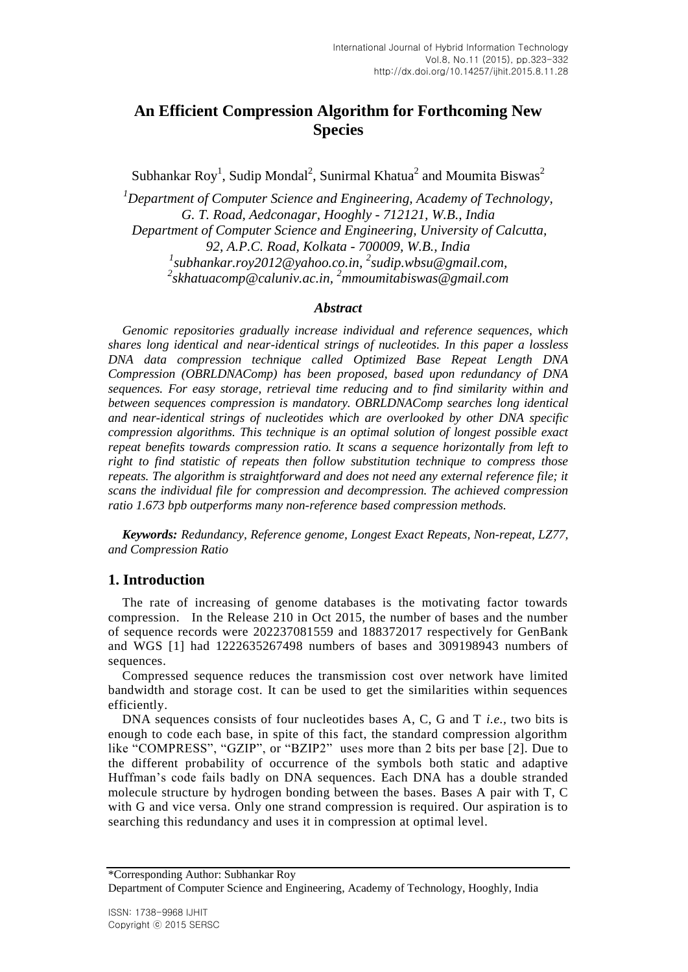# **An Efficient Compression Algorithm for Forthcoming New Species**

Subhankar Roy<sup>1</sup>, Sudip Mondal<sup>2</sup>, Sunirmal Khatua<sup>2</sup> and Moumita Biswas<sup>2</sup>

*<sup>1</sup>Department of Computer Science and Engineering, Academy of Technology, G. T. Road, Aedconagar, Hooghly - 712121, W.B., India Department of Computer Science and Engineering, University of Calcutta, 92, A.P.C. Road, Kolkata - 700009, W.B., India 1 subhankar.roy2012@yahoo.co.in, <sup>2</sup> sudip.wbsu@gmail.com, 2 skhatuacomp@caluniv.ac.in, <sup>2</sup>mmoumitabiswas@gmail.com*

#### *Abstract*

*Genomic repositories gradually increase individual and reference sequences, which shares long identical and near-identical strings of nucleotides. In this paper a lossless DNA data compression technique called Optimized Base Repeat Length DNA Compression (OBRLDNAComp) has been proposed, based upon redundancy of DNA sequences. For easy storage, retrieval time reducing and to find similarity within and between sequences compression is mandatory. OBRLDNAComp searches long identical and near-identical strings of nucleotides which are overlooked by other DNA specific compression algorithms. This technique is an optimal solution of longest possible exact repeat benefits towards compression ratio. It scans a sequence horizontally from left to right to find statistic of repeats then follow substitution technique to compress those repeats. The algorithm is straightforward and does not need any external reference file; it scans the individual file for compression and decompression. The achieved compression ratio 1.673 bpb outperforms many non-reference based compression methods.*

*Keywords: Redundancy, Reference genome, Longest Exact Repeats, Non-repeat, LZ77, and Compression Ratio*

#### **1. Introduction**

The rate of increasing of genome databases is the motivating factor towards compression. In the Release 210 in Oct 2015, the number of bases and the number of sequence records were 202237081559 and 188372017 respectively for GenBank and WGS [1] had 1222635267498 numbers of bases and 309198943 numbers of sequences.

Compressed sequence reduces the transmission cost over network have limited bandwidth and storage cost. It can be used to get the similarities within sequences efficiently.

DNA sequences consists of four nucleotides bases A, C, G and T *i.e.,* two bits is enough to code each base, in spite of this fact, the standard compression algorithm like "COMPRESS", "GZIP", or "BZIP2" uses more than 2 bits per base [2]. Due to the different probability of occurrence of the symbols both static and adaptive Huffman's code fails badly on DNA sequences. Each DNA has a double stranded molecule structure by hydrogen bonding between the bases. Bases A pair with T, C with G and vice versa. Only one strand compression is required. Our aspiration is to searching this redundancy and uses it in compression at optimal level.

\*Corresponding Author: Subhankar Roy

Department of Computer Science and Engineering, Academy of Technology, Hooghly, India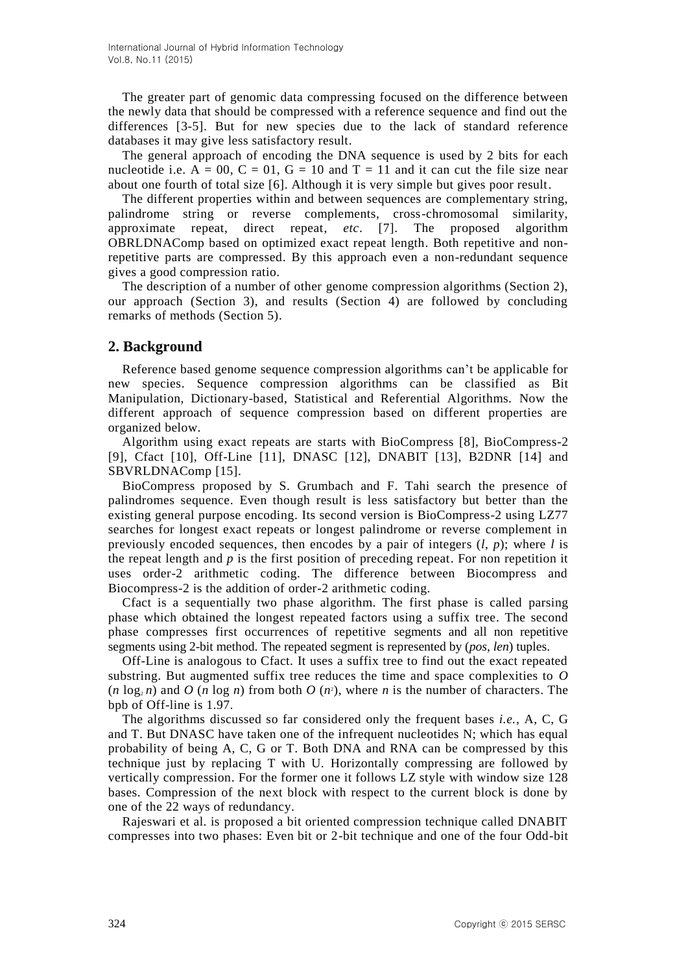The greater part of genomic data compressing focused on the difference between the newly data that should be compressed with a reference sequence and find out the differences [3-5]. But for new species due to the lack of standard reference databases it may give less satisfactory result.

The general approach of encoding the DNA sequence is used by 2 bits for each nucleotide i.e.  $A = 00$ ,  $C = 01$ ,  $G = 10$  and  $T = 11$  and it can cut the file size near about one fourth of total size [6]. Although it is very simple but gives poor result.

The different properties within and between sequences are complementary string, palindrome string or reverse complements, cross-chromosomal similarity, approximate repeat, direct repeat, *etc*. [7]. The proposed algorithm OBRLDNAComp based on optimized exact repeat length. Both repetitive and nonrepetitive parts are compressed. By this approach even a non-redundant sequence gives a good compression ratio.

The description of a number of other genome compression algorithms (Section 2), our approach (Section 3), and results (Section 4) are followed by concluding remarks of methods (Section 5).

### **2. Background**

Reference based genome sequence compression algorithms can't be applicable for new species. Sequence compression algorithms can be classified as Bit Manipulation, Dictionary-based, Statistical and Referential Algorithms. Now the different approach of sequence compression based on different properties are organized below.

Algorithm using exact repeats are starts with BioCompress [8], BioCompress-2 [9], Cfact [10], Off-Line [11], DNASC [12], DNABIT [13], B2DNR [14] and SBVRLDNAComp [15].

BioCompress proposed by S. Grumbach and F. Tahi search the presence of palindromes sequence. Even though result is less satisfactory but better than the existing general purpose encoding. Its second version is BioCompress-2 using LZ77 searches for longest exact repeats or longest palindrome or reverse complement in previously encoded sequences, then encodes by a pair of integers  $(l, p)$ ; where *l* is the repeat length and  $p$  is the first position of preceding repeat. For non repetition it uses order-2 arithmetic coding. The difference between Biocompress and Biocompress-2 is the addition of order-2 arithmetic coding.

Cfact is a sequentially two phase algorithm. The first phase is called parsing phase which obtained the longest repeated factors using a suffix tree. The second phase compresses first occurrences of repetitive segments and all non repetitive segments using 2-bit method. The repeated segment is represented by (*pos*, *len*) tuples.

Off-Line is analogous to Cfact. It uses a suffix tree to find out the exact repeated substring. But augmented suffix tree reduces the time and space complexities to *O*   $(n \log_2 n)$  and  $O(n \log n)$  from both  $O(n^2)$ , where *n* is the number of characters. The bpb of Off-line is 1.97.

The algorithms discussed so far considered only the frequent bases *i.e.,* A, C, G and T. But DNASC have taken one of the infrequent nucleotides N; which has equal probability of being A, C, G or T. Both DNA and RNA can be compressed by this technique just by replacing T with U. Horizontally compressing are followed by vertically compression. For the former one it follows LZ style with window size 128 bases. Compression of the next block with respect to the current block is done by one of the 22 ways of redundancy.

Rajeswari et al. is proposed a bit oriented compression technique called DNABIT compresses into two phases: Even bit or 2-bit technique and one of the four Odd-bit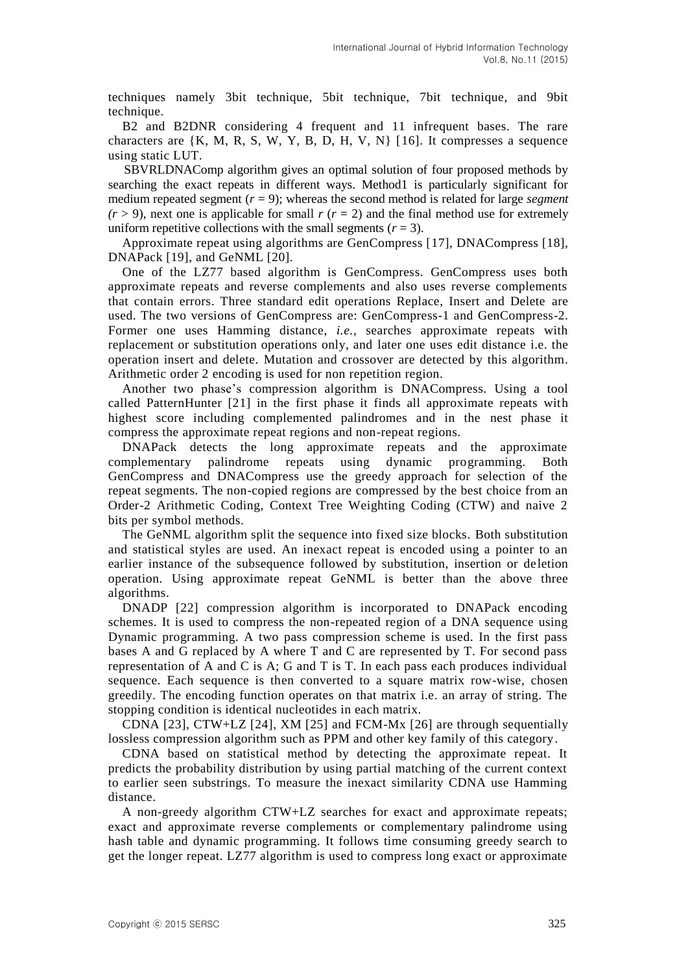techniques namely 3bit technique, 5bit technique, 7bit technique, and 9bit technique.

B2 and B2DNR considering 4 frequent and 11 infrequent bases. The rare characters are  $\{K, M, R, S, W, Y, B, D, H, V, N\}$  [16]. It compresses a sequence using static LUT.

 SBVRLDNAComp algorithm gives an optimal solution of four proposed methods by searching the exact repeats in different ways. Method1 is particularly significant for medium repeated segment  $(r = 9)$ ; whereas the second method is related for large *segment*  $(r > 9)$ , next one is applicable for small *r*  $(r = 2)$  and the final method use for extremely uniform repetitive collections with the small segments  $(r = 3)$ .

Approximate repeat using algorithms are GenCompress [17], DNACompress [18], DNAPack [19], and GeNML [20].

One of the LZ77 based algorithm is GenCompress. GenCompress uses both approximate repeats and reverse complements and also uses reverse complements that contain errors. Three standard edit operations Replace, Insert and Delete are used. The two versions of GenCompress are: GenCompress-1 and GenCompress-2. Former one uses Hamming distance, *i.e.,* searches approximate repeats with replacement or substitution operations only, and later one uses edit distance i.e. the operation insert and delete. Mutation and crossover are detected by this algorithm. Arithmetic order 2 encoding is used for non repetition region.

Another two phase's compression algorithm is DNACompress. Using a tool called PatternHunter [21] in the first phase it finds all approximate repeats with highest score including complemented palindromes and in the nest phase it compress the approximate repeat regions and non-repeat regions.

DNAPack detects the long approximate repeats and the approximate complementary palindrome repeats using dynamic programming. Both GenCompress and DNACompress use the greedy approach for selection of the repeat segments. The non-copied regions are compressed by the best choice from an Order-2 Arithmetic Coding, Context Tree Weighting Coding (CTW) and naive 2 bits per symbol methods.

The GeNML algorithm split the sequence into fixed size blocks. Both substitution and statistical styles are used. An inexact repeat is encoded using a pointer to an earlier instance of the subsequence followed by substitution, insertion or deletion operation. Using approximate repeat GeNML is better than the above three algorithms.

DNADP [22] compression algorithm is incorporated to DNAPack encoding schemes. It is used to compress the non-repeated region of a DNA sequence using Dynamic programming. A two pass compression scheme is used. In the first pass bases A and G replaced by A where T and C are represented by T. For second pass representation of A and C is A; G and T is T. In each pass each produces individual sequence. Each sequence is then converted to a square matrix row-wise, chosen greedily. The encoding function operates on that matrix i.e. an array of string. The stopping condition is identical nucleotides in each matrix.

CDNA [23], CTW+LZ [24], XM [25] and FCM-Mx [26] are through sequentially lossless compression algorithm such as PPM and other key family of this category.

CDNA based on statistical method by detecting the approximate repeat. It predicts the probability distribution by using partial matching of the current context to earlier seen substrings. To measure the inexact similarity CDNA use Hamming distance.

A non-greedy algorithm CTW+LZ searches for exact and approximate repeats; exact and approximate reverse complements or complementary palindrome using hash table and dynamic programming. It follows time consuming greedy search to get the longer repeat. LZ77 algorithm is used to compress long exact or approximate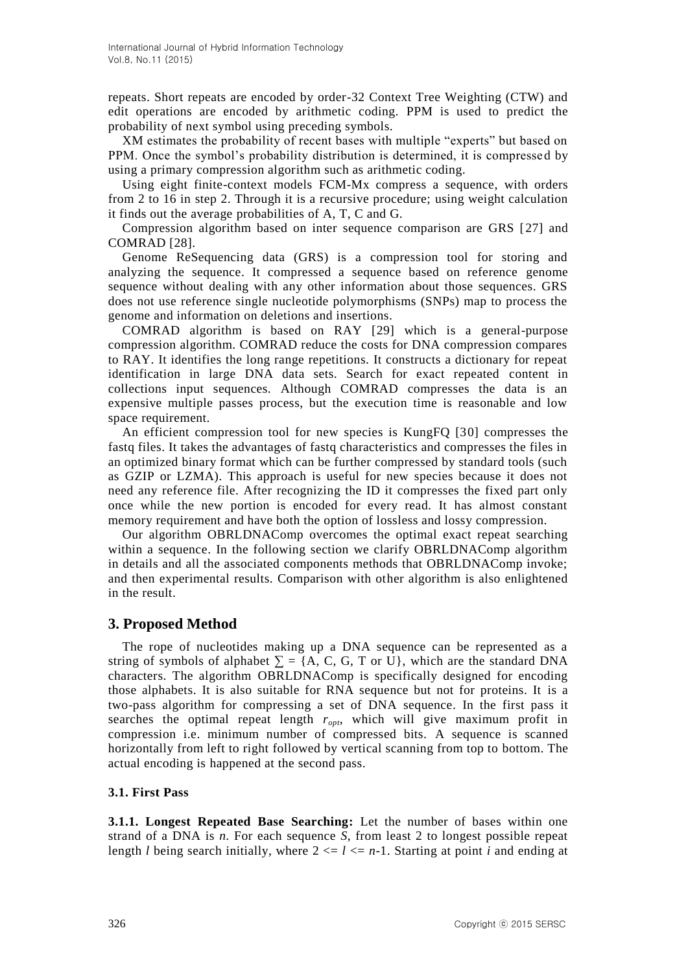repeats. Short repeats are encoded by order-32 Context Tree Weighting (CTW) and edit operations are encoded by arithmetic coding. PPM is used to predict the probability of next symbol using preceding symbols.

XM estimates the probability of recent bases with multiple "experts" but based on PPM. Once the symbol's probability distribution is determined, it is compressed by using a primary compression algorithm such as arithmetic coding.

Using eight finite-context models FCM-Mx compress a sequence, with orders from 2 to 16 in step 2. Through it is a recursive procedure; using weight calculation it finds out the average probabilities of A, T, C and G.

Compression algorithm based on inter sequence comparison are GRS [27] and COMRAD [28].

Genome ReSequencing data (GRS) is a compression tool for storing and analyzing the sequence. It compressed a sequence based on reference genome sequence without dealing with any other information about those sequences. GRS does not use reference single nucleotide polymorphisms (SNPs) map to process the genome and information on deletions and insertions.

COMRAD algorithm is based on RAY [29] which is a general-purpose compression algorithm. COMRAD reduce the costs for DNA compression compares to RAY. It identifies the long range repetitions. It constructs a dictionary for repeat identification in large DNA data sets. Search for exact repeated content in collections input sequences. Although COMRAD compresses the data is an expensive multiple passes process, but the execution time is reasonable and low space requirement.

An efficient compression tool for new species is KungFQ [30] compresses the fastq files. It takes the advantages of fastq characteristics and compresses the files in an optimized binary format which can be further compressed by standard tools (such as GZIP or LZMA). This approach is useful for new species because it does not need any reference file. After recognizing the ID it compresses the fixed part only once while the new portion is encoded for every read. It has almost constant memory requirement and have both the option of lossless and lossy compression.

Our algorithm OBRLDNAComp overcomes the optimal exact repeat searching within a sequence. In the following section we clarify OBRLDNAComp algorithm in details and all the associated components methods that OBRLDNAComp invoke; and then experimental results. Comparison with other algorithm is also enlightened in the result.

### **3. Proposed Method**

The rope of nucleotides making up a DNA sequence can be represented as a string of symbols of alphabet  $\Sigma = \{A, C, G, T \text{ or } U\}$ , which are the standard DNA characters. The algorithm OBRLDNAComp is specifically designed for encoding those alphabets. It is also suitable for RNA sequence but not for proteins. It is a two-pass algorithm for compressing a set of DNA sequence. In the first pass it searches the optimal repeat length *ropt*, which will give maximum profit in compression i.e. minimum number of compressed bits. A sequence is scanned horizontally from left to right followed by vertical scanning from top to bottom. The actual encoding is happened at the second pass.

#### **3.1. First Pass**

**3.1.1. Longest Repeated Base Searching:** Let the number of bases within one strand of a DNA is *n.* For each sequence *S*, from least 2 to longest possible repeat length *l* being search initially, where  $2 \le l \le n-1$ . Starting at point *i* and ending at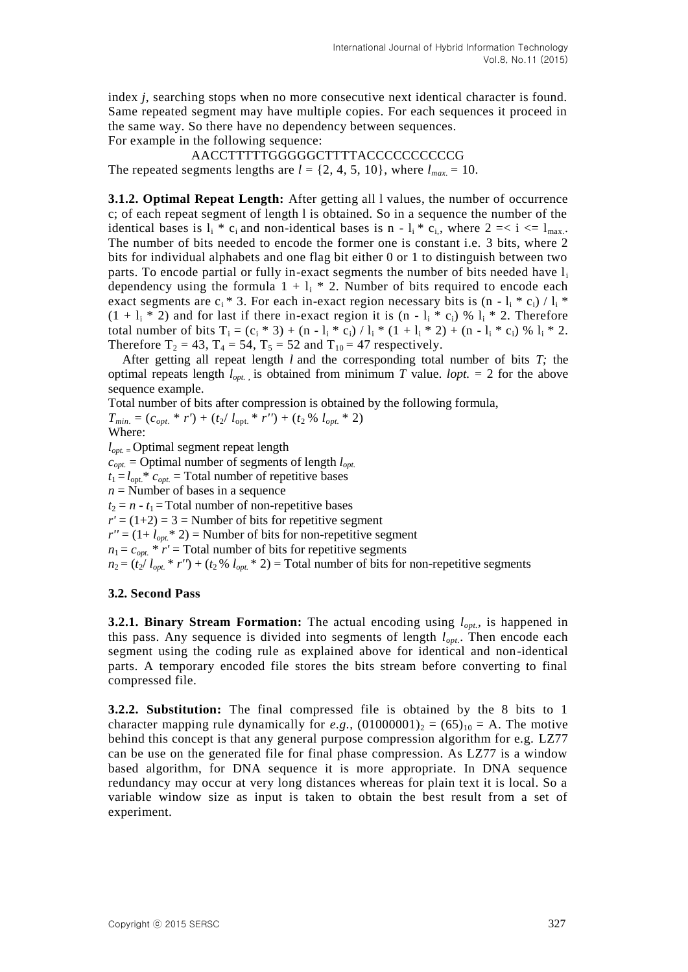index *j*, searching stops when no more consecutive next identical character is found. Same repeated segment may have multiple copies. For each sequences it proceed in the same way. So there have no dependency between sequences.

For example in the following sequence:

AACCTTTTTGGGGGCTTTTACCCCCCCCCCG The repeated segments lengths are  $l = \{2, 4, 5, 10\}$ , where  $l_{max} = 10$ .

**3.1.2. Optimal Repeat Length:** After getting all l values, the number of occurrence c; of each repeat segment of length l is obtained. So in a sequence the number of the identical bases is  $l_i * c_i$  and non-identical bases is n -  $l_i * c_i$ , where  $2 \le i \le l_{\text{max}}$ . The number of bits needed to encode the former one is constant i.e. 3 bits, where 2 bits for individual alphabets and one flag bit either 0 or 1 to distinguish between two parts. To encode partial or fully in-exact segments the number of bits needed have  $l_i$ dependency using the formula  $1 + l_i * 2$ . Number of bits required to encode each exact segments are  $c_i$  \* 3. For each in-exact region necessary bits is  $(n - 1_i * c_i) / 1_i *$  $(1 + l_i * 2)$  and for last if there in-exact region it is  $(n - l_i * c_i)$  %  $l_i * 2$ . Therefore total number of bits  $T_i = (c_i * 3) + (n - l_i * c_i) / l_i * (1 + l_i * 2) + (n - l_i * c_i) \% l_i * 2$ . Therefore  $T_2 = 43$ ,  $T_4 = 54$ ,  $T_5 = 52$  and  $T_{10} = 47$  respectively.

After getting all repeat length *l* and the corresponding total number of bits *T;* the optimal repeats length  $l_{opt}$  is obtained from minimum *T* value. *lopt*. = 2 for the above sequence example.

Total number of bits after compression is obtained by the following formula,

 $T_{min.} = (c_{opt.} * r') + (t_2 / l_{opt.} * r'') + (t_2 % l_{opt.} * 2)$ 

Where:

*lopt.* <sup>=</sup>Optimal segment repeat length

 $c_{opt}$  = Optimal number of segments of length  $l_{opt}$ 

 $t_1 = l_{opt}$ <sup>\*</sup>  $c_{opt.}$  = Total number of repetitive bases

 $n =$ Number of bases in a sequence

 $t_2 = n - t_1$  = Total number of non-repetitive bases

 $r' = (1+2) = 3$  = Number of bits for repetitive segment

 $r'' = (1 + l_{opt} * 2) =$  Number of bits for non-repetitive segment

 $n_1 = c_{opt.} * r' = \text{Total number of bits for repetitive segments}$ 

 $n_2 = (t_2 / l_{opt} * r') + (t_2 % l_{opt} * 2) =$  Total number of bits for non-repetitive segments

#### **3.2. Second Pass**

**3.2.1. Binary Stream Formation:** The actual encoding using  $l_{opt}$ , is happened in this pass. Any sequence is divided into segments of length *lopt.*. Then encode each segment using the coding rule as explained above for identical and non-identical parts. A temporary encoded file stores the bits stream before converting to final compressed file.

**3.2.2. Substitution:** The final compressed file is obtained by the 8 bits to 1 character mapping rule dynamically for *e.g.*,  $(01000001)_2 = (65)_{10} = A$ . The motive behind this concept is that any general purpose compression algorithm for e.g. LZ77 can be use on the generated file for final phase compression. As LZ77 is a window based algorithm, for DNA sequence it is more appropriate. In DNA sequence redundancy may occur at very long distances whereas for plain text it is local. So a variable window size as input is taken to obtain the best result from a set of experiment.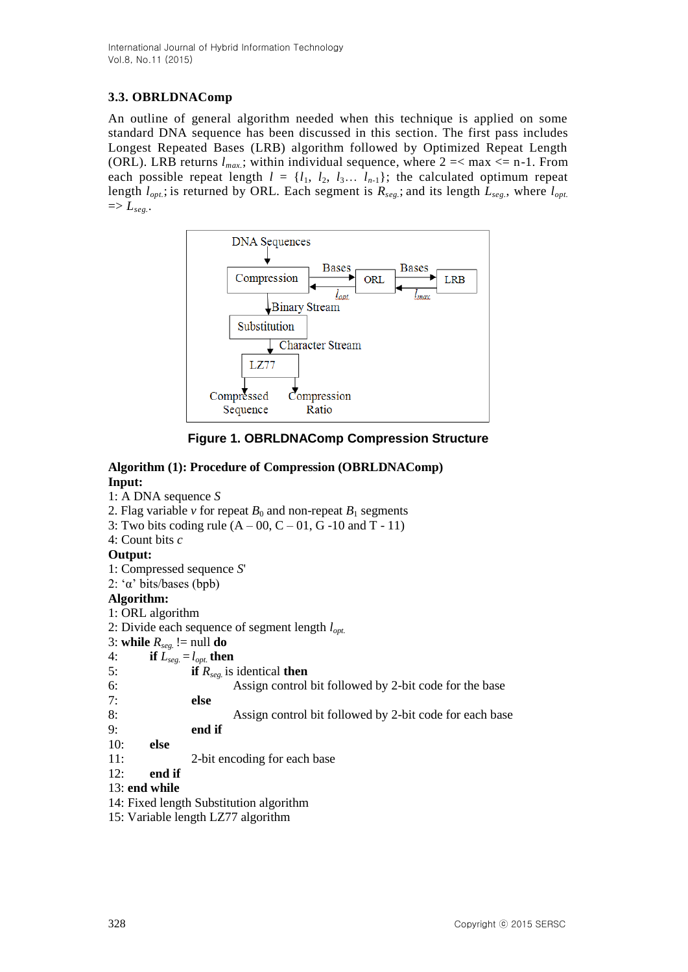International Journal of Hybrid Information Technology Vol.8, No.11 (2015)

## **3.3. OBRLDNAComp**

An outline of general algorithm needed when this technique is applied on some standard DNA sequence has been discussed in this section. The first pass includes Longest Repeated Bases (LRB) algorithm followed by Optimized Repeat Length (ORL). LRB returns  $l_{max}$ ; within individual sequence, where  $2 = <$  max  $<=$  n-1. From each possible repeat length  $l = \{l_1, l_2, l_3, \ldots, l_{n-1}\}$ ; the calculated optimum repeat length *lopt.*; is returned by ORL*.* Each segment is *Rseg.*; and its length *Lseg.*, where *lopt.*  $\Rightarrow$   $L_{seg.}.$ 



**Figure 1. OBRLDNAComp Compression Structure**

#### **Algorithm (1): Procedure of Compression (OBRLDNAComp) Input:** 1: A DNA sequence *S* 2. Flag variable *v* for repeat  $B_0$  and non-repeat  $B_1$  segments 3: Two bits coding rule  $(A - 00, C - 01, G - 10$  and T - 11) 4: Count bits *c* **Output:** 1: Compressed sequence *S*' 2: 'α' bits/bases (bpb) **Algorithm:** 1: ORL algorithm 2: Divide each sequence of segment length *lopt.* 3: **while**  $R_{seg.}$  != null **do** 4: **if**  $L_{seg.} = l_{opt.}$  **then** 5: **if** *Rseg.* is identical **then** 6: Assign control bit followed by 2-bit code for the base 7: **else** 8: Assign control bit followed by 2-bit code for each base 9: **end if** 10: **else** 11: 2-bit encoding for each base 12: **end if** 13: **end while** 14: Fixed length Substitution algorithm

15: Variable length LZ77 algorithm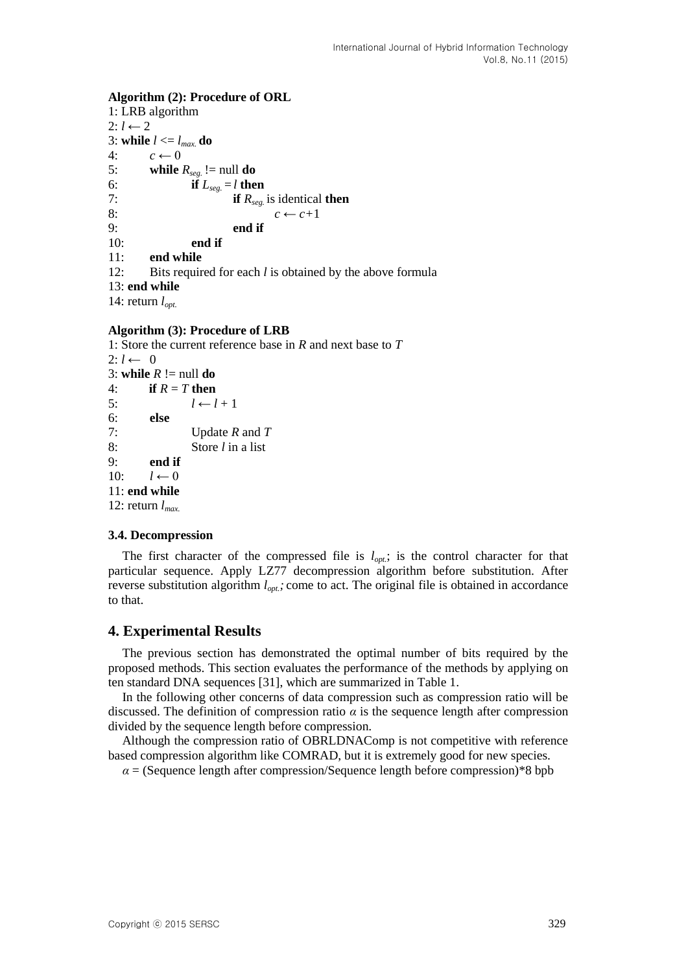#### **Algorithm (2): Procedure of ORL**

1: LRB algorithm  $2: l \leftarrow 2$ 3: **while**  $l \leq l_{max}$  **do** 4:  $c \leftarrow 0$ 5: **while**  $R_{seg}$  != null **do** 6: **if**  $L_{seg.} = l$  **then**<br>7: **if**  $R_{seg.}$ if  $R_{seg}$  is identical then 8:  $c \leftarrow c+1$ 9: **end if** 10: **end if** 11: **end while** 12: Bits required for each *l* is obtained by the above formula 13: **end while** 14: return *lopt.*

#### **Algorithm (3): Procedure of LRB**

1: Store the current reference base in *R* and next base to *T*  $2: l \leftarrow 0$ 3: **while**  $R := \text{null}$  **do** 4: **if**  $R = T$  **then** 5:  $l \leftarrow l + 1$ 6: **else** 7: Update *R* and *T* 8: Store *l* in a list 9: **end if**  $10 \cdot l \leftarrow 0$ 11: **end while** 12: return *lmax.*

#### **3.4. Decompression**

The first character of the compressed file is  $l_{opt}$ ; is the control character for that particular sequence. Apply LZ77 decompression algorithm before substitution. After reverse substitution algorithm  $l_{opt}$ ; come to act. The original file is obtained in accordance to that.

### **4. Experimental Results**

The previous section has demonstrated the optimal number of bits required by the proposed methods. This section evaluates the performance of the methods by applying on ten standard DNA sequences [31], which are summarized in Table 1.

In the following other concerns of data compression such as compression ratio will be discussed. The definition of compression ratio  $\alpha$  is the sequence length after compression divided by the sequence length before compression.

Although the compression ratio of OBRLDNAComp is not competitive with reference based compression algorithm like COMRAD, but it is extremely good for new species.

 $\alpha$  = (Sequence length after compression/Sequence length before compression)\*8 bpb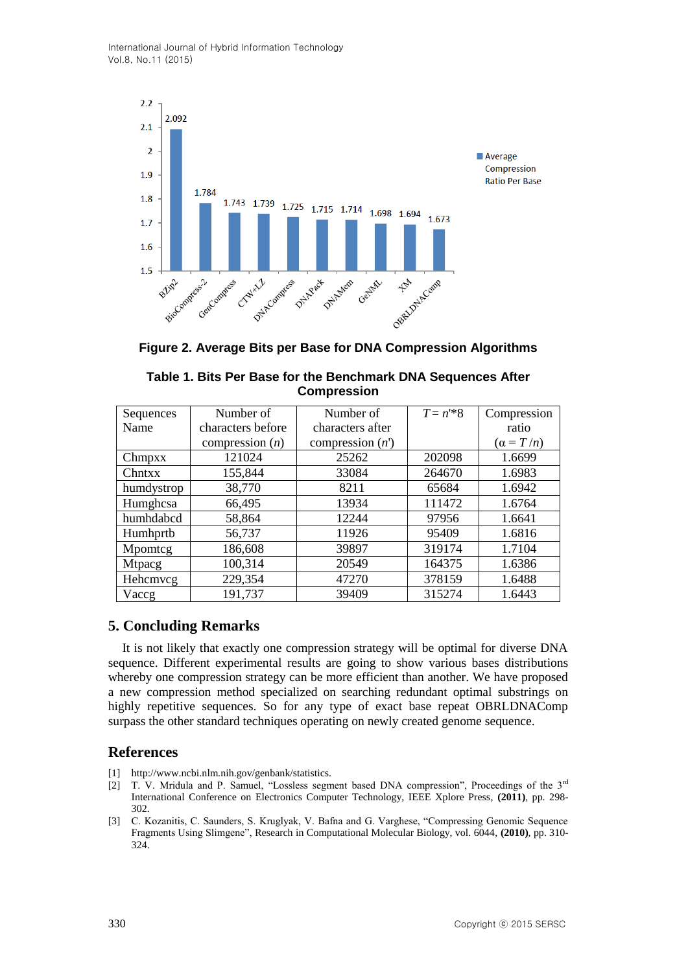International Journal of Hybrid Information Technology Vol.8, No.11 (2015)



**Figure 2. Average Bits per Base for DNA Compression Algorithms**

| Sequences     | Number of         | Number of         | $T = n^{1*}8$ | Compression      |
|---------------|-------------------|-------------------|---------------|------------------|
| Name          | characters before | characters after  |               | ratio            |
|               | compression $(n)$ | compression $(n)$ |               | $(\alpha = T/n)$ |
| Chmpxx        | 121024            | 25262             | 202098        | 1.6699           |
| Chntxx        | 155,844           | 33084             | 264670        | 1.6983           |
| humdystrop    | 38,770            | 8211              | 65684         | 1.6942           |
| Humghcsa      | 66,495            | 13934             | 111472        | 1.6764           |
| humhdabcd     | 58,864            | 12244             | 97956         | 1.6641           |
| Humhprtb      | 56,737            | 11926             | 95409         | 1.6816           |
| Mpomtcg       | 186,608           | 39897             | 319174        | 1.7104           |
| <b>Mtpacg</b> | 100,314           | 20549             | 164375        | 1.6386           |
| Hehemveg      | 229,354           | 47270             | 378159        | 1.6488           |
| Vaccg         | 191,737           | 39409             | 315274        | 1.6443           |

| Table 1. Bits Per Base for the Benchmark DNA Sequences After |  |
|--------------------------------------------------------------|--|
| <b>Compression</b>                                           |  |

# **5. Concluding Remarks**

It is not likely that exactly one compression strategy will be optimal for diverse DNA sequence. Different experimental results are going to show various bases distributions whereby one compression strategy can be more efficient than another. We have proposed a new compression method specialized on searching redundant optimal substrings on highly repetitive sequences. So for any type of exact base repeat OBRLDNAComp surpass the other standard techniques operating on newly created genome sequence.

## **References**

- [1] http://www.ncbi.nlm.nih.gov/genbank/statistics.
- [2] T. V. Mridula and P. Samuel, "Lossless segment based DNA compression", Proceedings of the 3rd International Conference on Electronics Computer Technology, IEEE Xplore Press, **(2011)**, pp. 298- 302.
- [3] C. Kozanitis, C. Saunders, S. Kruglyak, V. Bafna and G. Varghese, "Compressing Genomic Sequence Fragments Using Slimgene", Research in Computational Molecular Biology, vol. 6044, **(2010)**, pp. 310- 324.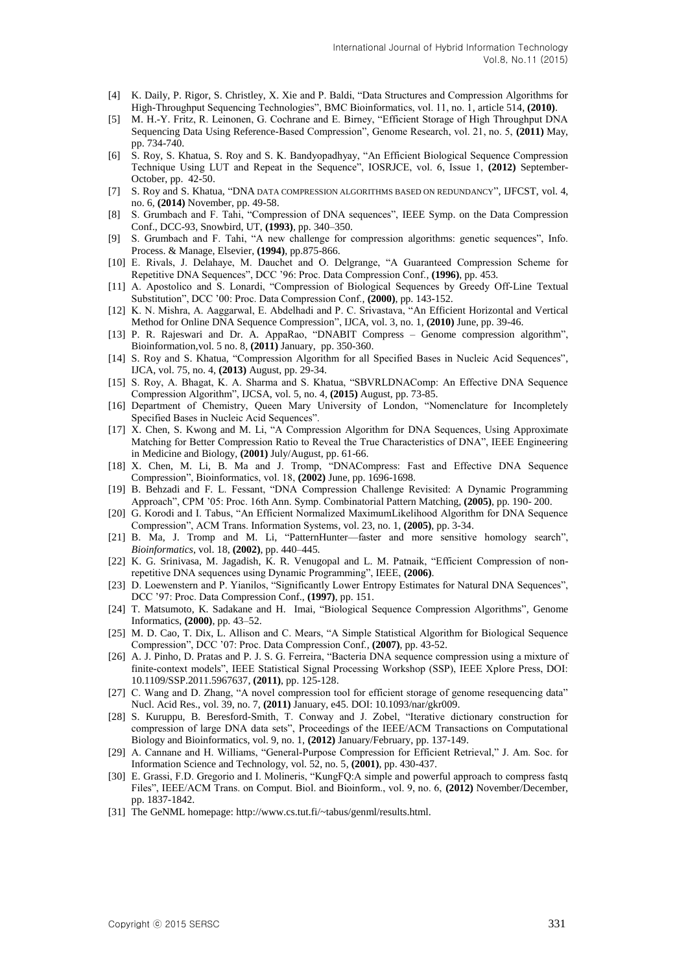- [4] K. Daily, P. Rigor, S. Christley, X. Xie and P. Baldi, "Data Structures and Compression Algorithms for High-Throughput Sequencing Technologies", BMC Bioinformatics, vol. 11, no. 1, article 514, **(2010)**.
- [5] M. H.-Y. Fritz, R. Leinonen, G. Cochrane and E. Birney, "Efficient Storage of High Throughput DNA Sequencing Data Using Reference-Based Compression", Genome Research, vol. 21, no. 5, **(2011)** May, pp. 734-740.
- [6] S. Roy, S. Khatua, S. Roy and S. K. Bandyopadhyay, "An Efficient Biological Sequence Compression Technique Using LUT and Repeat in the Sequence", IOSRJCE, vol. 6, Issue 1, **(2012)** September-October, pp. 42-50.
- [7] S. Roy and S. Khatua, "DNA DATA COMPRESSION ALGORITHMS BASED ON REDUNDANCY", IJFCST, vol. 4, no. 6, **(2014)** November, pp. 49-58.
- [8] S. Grumbach and F. Tahi, "Compression of DNA sequences", IEEE Symp. on the Data Compression Conf., DCC-93, Snowbird, UT, **(1993)**, pp. 340–350.
- [9] S. Grumbach and F. Tahi, "A new challenge for compression algorithms: genetic sequences", Info. Process. & Manage, Elsevier, **(1994)**, pp.875-866.
- [10] E. Rivals, J. Delahaye, M. Dauchet and O. Delgrange, "A Guaranteed Compression Scheme for Repetitive DNA Sequences", DCC '96: Proc. Data Compression Conf., **(1996)**, pp. 453.
- [11] A. Apostolico and S. Lonardi, "Compression of Biological Sequences by Greedy Off-Line Textual Substitution", DCC '00: Proc. Data Compression Conf., **(2000)**, pp. 143-152.
- [12] K. N. Mishra, A. Aaggarwal, E. Abdelhadi and P. C. Srivastava, "An Efficient Horizontal and Vertical Method for Online DNA Sequence Compression", IJCA, vol. 3, no. 1, **(2010)** June, pp. 39-46.
- [13] P. R. Rajeswari and Dr. A. AppaRao, "DNABIT Compress Genome compression algorithm", Bioinformation,vol. 5 no. 8, **(2011)** January, pp. 350-360.
- [14] S. Roy and S. Khatua, "Compression Algorithm for all Specified Bases in Nucleic Acid Sequences", IJCA, vol. 75, no. 4, **(2013)** August, pp. 29-34.
- [15] S. Roy, A. Bhagat, K. A. Sharma and S. Khatua, "SBVRLDNAComp: An Effective DNA Sequence Compression Algorithm", IJCSA, vol. 5, no. 4, **(2015)** August, pp. 73-85.
- [16] Department of Chemistry, Queen Mary University of London, "Nomenclature for Incompletely Specified Bases in Nucleic Acid Sequences".
- [17] X. Chen, S. Kwong and M. Li, "A Compression Algorithm for DNA Sequences, Using Approximate Matching for Better Compression Ratio to Reveal the True Characteristics of DNA", IEEE Engineering in Medicine and Biology, **(2001)** July/August, pp. 61-66.
- [18] X. Chen, M. Li, B. Ma and J. Tromp, "DNACompress: Fast and Effective DNA Sequence Compression", Bioinformatics, vol. 18, **(2002)** June, pp. 1696-1698.
- [19] B. Behzadi and F. L. Fessant, "DNA Compression Challenge Revisited: A Dynamic Programming Approach", CPM '05: Proc. 16th Ann. Symp. Combinatorial Pattern Matching, **(2005)**, pp. 190- 200.
- [20] G. Korodi and I. Tabus, "An Efficient Normalized MaximumLikelihood Algorithm for DNA Sequence Compression", ACM Trans. Information Systems, vol. 23, no. 1, **(2005)**, pp. 3-34.
- [21] B. Ma, J. Tromp and M. Li, "PatternHunter—faster and more sensitive homology search", *Bioinformatics*, vol. 18, **(2002)**, pp. 440–445.
- [22] K. G. Srinivasa, M. Jagadish, K. R. Venugopal and L. M. Patnaik, "Efficient Compression of nonrepetitive DNA sequences using Dynamic Programming", IEEE, **(2006)**.
- [23] D. Loewenstern and P. Yianilos, "Significantly Lower Entropy Estimates for Natural DNA Sequences", DCC '97: Proc. Data Compression Conf., **(1997)**, pp. 151.
- [24] T. Matsumoto, K. Sadakane and H. Imai, "Biological Sequence Compression Algorithms", Genome Informatics, **(2000)**, pp. 43–52.
- [25] M. D. Cao, T. Dix, L. Allison and C. Mears, "A Simple Statistical Algorithm for Biological Sequence Compression", DCC '07: Proc. Data Compression Conf., **(2007)**, pp. 43-52.
- [26] A. J. Pinho, D. Pratas and P. J. S. G. Ferreira, "Bacteria DNA sequence compression using a mixture of finite-context models", IEEE Statistical Signal Processing Workshop (SSP), IEEE Xplore Press, DOI: 10.1109/SSP.2011.5967637, **(2011)**, pp. 125-128.
- [27] C. Wang and D. Zhang, "A novel compression tool for efficient storage of genome resequencing data" Nucl. Acid Res., vol. 39, no. 7, **(2011)** January, e45. DOI: 10.1093/nar/gkr009.
- [28] S. Kuruppu, B. Beresford-Smith, T. Conway and J. Zobel, "Iterative dictionary construction for compression of large DNA data sets", Proceedings of the IEEE/ACM Transactions on Computational Biology and Bioinformatics, vol. 9, no. 1, **(2012)** January/February, pp. 137-149.
- [29] A. Cannane and H. Williams, "General-Purpose Compression for Efficient Retrieval," J. Am. Soc. for Information Science and Technology, vol. 52, no. 5, **(2001)**, pp. 430-437.
- [30] E. Grassi, F.D. Gregorio and I. Molineris, "KungFQ:A simple and powerful approach to compress fastq Files", IEEE/ACM Trans. on Comput. Biol. and Bioinform., vol. 9, no. 6, **(2012)** November/December, pp. 1837-1842.
- [31] The GeNML homepage: http://www.cs.tut.fi/~tabus/genml/results.html.